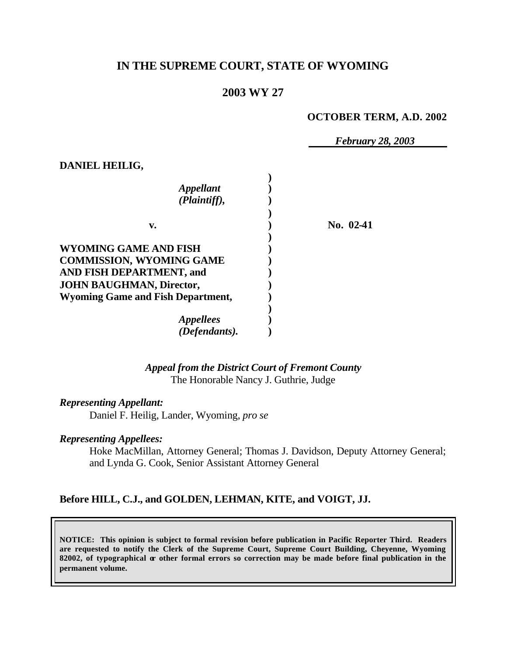# **IN THE SUPREME COURT, STATE OF WYOMING**

## **2003 WY 27**

#### **OCTOBER TERM, A.D. 2002**

*February 28, 2003*

| No. 02-41 |
|-----------|
|           |
|           |
|           |
|           |
|           |
|           |
|           |
|           |
|           |
|           |

### *Appeal from the District Court of Fremont County* The Honorable Nancy J. Guthrie, Judge

*Representing Appellant:*

**DANIEL HEILIG,**

Daniel F. Heilig, Lander, Wyoming, *pro se*

### *Representing Appellees:*

Hoke MacMillan, Attorney General; Thomas J. Davidson, Deputy Attorney General; and Lynda G. Cook, Senior Assistant Attorney General

#### **Before HILL, C.J., and GOLDEN, LEHMAN, KITE, and VOIGT, JJ.**

**NOTICE: This opinion is subject to formal revision before publication in Pacific Reporter Third. Readers are requested to notify the Clerk of the Supreme Court, Supreme Court Building, Cheyenne, Wyoming 82002, of typographical or other formal errors so correction may be made before final publication in the permanent volume.**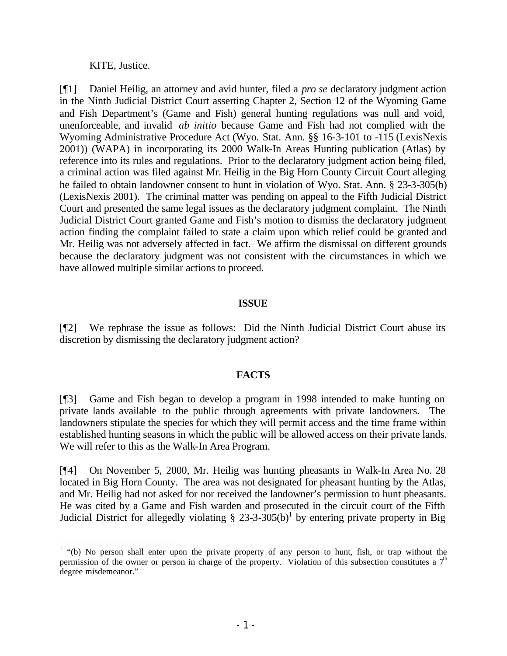KITE, Justice.

[¶1] Daniel Heilig, an attorney and avid hunter, filed a *pro se* declaratory judgment action in the Ninth Judicial District Court asserting Chapter 2, Section 12 of the Wyoming Game and Fish Department's (Game and Fish) general hunting regulations was null and void, unenforceable, and invalid *ab initio* because Game and Fish had not complied with the Wyoming Administrative Procedure Act (Wyo. Stat. Ann. §§ 16-3-101 to -115 (LexisNexis 2001)) (WAPA) in incorporating its 2000 Walk-In Areas Hunting publication (Atlas) by reference into its rules and regulations. Prior to the declaratory judgment action being filed, a criminal action was filed against Mr. Heilig in the Big Horn County Circuit Court alleging he failed to obtain landowner consent to hunt in violation of Wyo. Stat. Ann. § 23-3-305(b) (LexisNexis 2001). The criminal matter was pending on appeal to the Fifth Judicial District Court and presented the same legal issues as the declaratory judgment complaint. The Ninth Judicial District Court granted Game and Fish's motion to dismiss the declaratory judgment action finding the complaint failed to state a claim upon which relief could be granted and Mr. Heilig was not adversely affected in fact. We affirm the dismissal on different grounds because the declaratory judgment was not consistent with the circumstances in which we have allowed multiple similar actions to proceed.

#### **ISSUE**

[¶2] We rephrase the issue as follows: Did the Ninth Judicial District Court abuse its discretion by dismissing the declaratory judgment action?

### **FACTS**

[¶3] Game and Fish began to develop a program in 1998 intended to make hunting on private lands available to the public through agreements with private landowners. The landowners stipulate the species for which they will permit access and the time frame within established hunting seasons in which the public will be allowed access on their private lands. We will refer to this as the Walk-In Area Program.

[¶4] On November 5, 2000, Mr. Heilig was hunting pheasants in Walk-In Area No. 28 located in Big Horn County. The area was not designated for pheasant hunting by the Atlas, and Mr. Heilig had not asked for nor received the landowner's permission to hunt pheasants. He was cited by a Game and Fish warden and prosecuted in the circuit court of the Fifth Judicial District for allegedly violating  $\S 23-3-305(b)^1$  by entering private property in Big

<sup>&</sup>lt;sup>1</sup> "(b) No person shall enter upon the private property of any person to hunt, fish, or trap without the permission of the owner or person in charge of the property. Violation of this subsection constitutes a  $7<sup>th</sup>$ degree misdemeanor."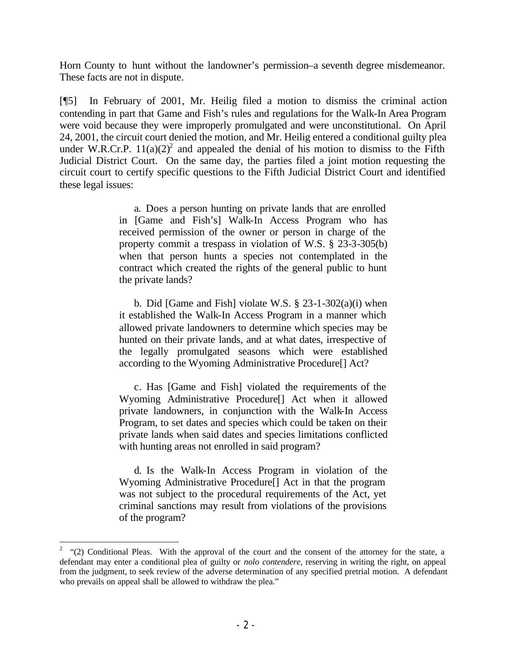Horn County to hunt without the landowner's permission–a seventh degree misdemeanor. These facts are not in dispute.

[¶5] In February of 2001, Mr. Heilig filed a motion to dismiss the criminal action contending in part that Game and Fish's rules and regulations for the Walk-In Area Program were void because they were improperly promulgated and were unconstitutional. On April 24, 2001, the circuit court denied the motion, and Mr. Heilig entered a conditional guilty plea under W.R.Cr.P.  $11(a)(2)^2$  and appealed the denial of his motion to dismiss to the Fifth Judicial District Court. On the same day, the parties filed a joint motion requesting the circuit court to certify specific questions to the Fifth Judicial District Court and identified these legal issues:

> a. Does a person hunting on private lands that are enrolled in [Game and Fish's] Walk-In Access Program who has received permission of the owner or person in charge of the property commit a trespass in violation of W.S. § 23-3-305(b) when that person hunts a species not contemplated in the contract which created the rights of the general public to hunt the private lands?

> b. Did [Game and Fish] violate W.S.  $\S$  23-1-302(a)(i) when it established the Walk-In Access Program in a manner which allowed private landowners to determine which species may be hunted on their private lands, and at what dates, irrespective of the legally promulgated seasons which were established according to the Wyoming Administrative Procedure[] Act?

> c. Has [Game and Fish] violated the requirements of the Wyoming Administrative Procedure[] Act when it allowed private landowners, in conjunction with the Walk-In Access Program, to set dates and species which could be taken on their private lands when said dates and species limitations conflicted with hunting areas not enrolled in said program?

> d. Is the Walk-In Access Program in violation of the Wyoming Administrative Procedure[] Act in that the program was not subject to the procedural requirements of the Act, yet criminal sanctions may result from violations of the provisions of the program?

<sup>2</sup> "(2) Conditional Pleas. With the approval of the court and the consent of the attorney for the state, a defendant may enter a conditional plea of guilty or *nolo contendere*, reserving in writing the right, on appeal from the judgment, to seek review of the adverse determination of any specified pretrial motion. A defendant who prevails on appeal shall be allowed to withdraw the plea."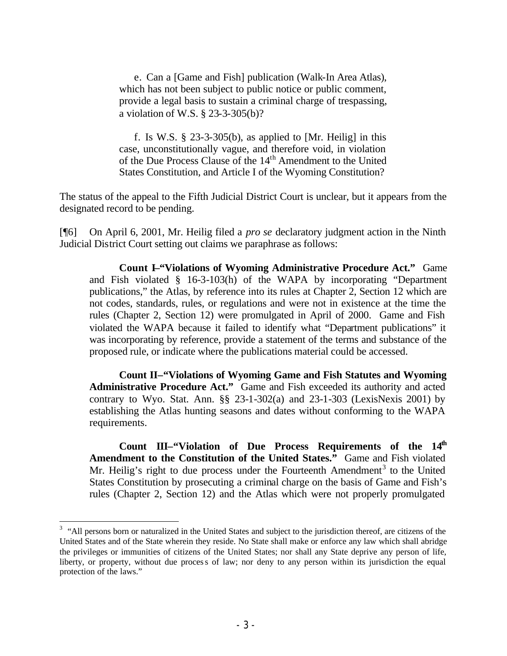e. Can a [Game and Fish] publication (Walk-In Area Atlas), which has not been subject to public notice or public comment, provide a legal basis to sustain a criminal charge of trespassing, a violation of W.S. § 23-3-305(b)?

f. Is W.S.  $\S$  23-3-305(b), as applied to [Mr. Heilig] in this case, unconstitutionally vague, and therefore void, in violation of the Due Process Clause of the 14th Amendment to the United States Constitution, and Article I of the Wyoming Constitution?

The status of the appeal to the Fifth Judicial District Court is unclear, but it appears from the designated record to be pending.

[¶6] On April 6, 2001, Mr. Heilig filed a *pro se* declaratory judgment action in the Ninth Judicial District Court setting out claims we paraphrase as follows:

**Count I–"Violations of Wyoming Administrative Procedure Act."** Game and Fish violated § 16-3-103(h) of the WAPA by incorporating "Department publications," the Atlas, by reference into its rules at Chapter 2, Section 12 which are not codes, standards, rules, or regulations and were not in existence at the time the rules (Chapter 2, Section 12) were promulgated in April of 2000. Game and Fish violated the WAPA because it failed to identify what "Department publications" it was incorporating by reference, provide a statement of the terms and substance of the proposed rule, or indicate where the publications material could be accessed.

**Count II–"Violations of Wyoming Game and Fish Statutes and Wyoming Administrative Procedure Act."** Game and Fish exceeded its authority and acted contrary to Wyo. Stat. Ann.  $\S$ § 23-1-302(a) and 23-1-303 (LexisNexis 2001) by establishing the Atlas hunting seasons and dates without conforming to the WAPA requirements.

**Count III–"Violation of Due Process Requirements of the 14th Amendment to the Constitution of the United States."** Game and Fish violated Mr. Heilig's right to due process under the Fourteenth Amendment<sup>3</sup> to the United States Constitution by prosecuting a criminal charge on the basis of Game and Fish's rules (Chapter 2, Section 12) and the Atlas which were not properly promulgated

<sup>&</sup>lt;sup>3</sup> "All persons born or naturalized in the United States and subject to the jurisdiction thereof, are citizens of the United States and of the State wherein they reside. No State shall make or enforce any law which shall abridge the privileges or immunities of citizens of the United States; nor shall any State deprive any person of life, liberty, or property, without due process of law; nor deny to any person within its jurisdiction the equal protection of the laws."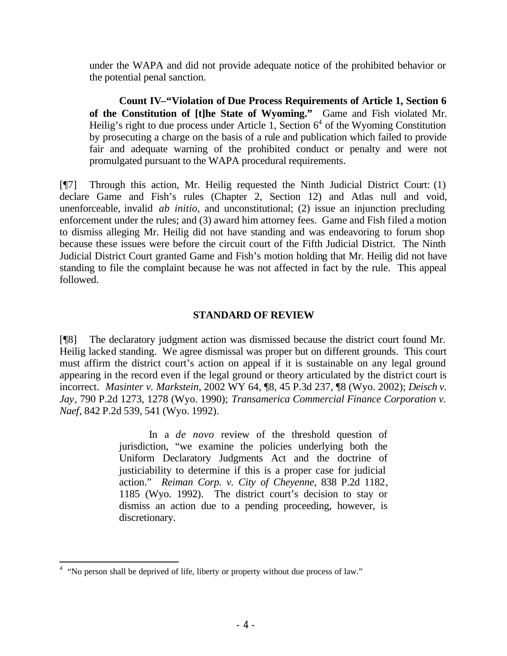under the WAPA and did not provide adequate notice of the prohibited behavior or the potential penal sanction.

**Count IV–"Violation of Due Process Requirements of Article 1, Section 6 of the Constitution of [t]he State of Wyoming."** Game and Fish violated Mr. Heilig's right to due process under Article 1, Section  $6<sup>4</sup>$  of the Wyoming Constitution by prosecuting a charge on the basis of a rule and publication which failed to provide fair and adequate warning of the prohibited conduct or penalty and were not promulgated pursuant to the WAPA procedural requirements.

[¶7] Through this action, Mr. Heilig requested the Ninth Judicial District Court: (1) declare Game and Fish's rules (Chapter 2, Section 12) and Atlas null and void, unenforceable, invalid *ab initio*, and unconstitutional; (2) issue an injunction precluding enforcement under the rules; and (3) award him attorney fees. Game and Fish filed a motion to dismiss alleging Mr. Heilig did not have standing and was endeavoring to forum shop because these issues were before the circuit court of the Fifth Judicial District. The Ninth Judicial District Court granted Game and Fish's motion holding that Mr. Heilig did not have standing to file the complaint because he was not affected in fact by the rule. This appeal followed.

## **STANDARD OF REVIEW**

[¶8] The declaratory judgment action was dismissed because the district court found Mr. Heilig lacked standing. We agree dismissal was proper but on different grounds. This court must affirm the district court's action on appeal if it is sustainable on any legal ground appearing in the record even if the legal ground or theory articulated by the district court is incorrect. *Masinter v. Markstein*, 2002 WY 64, ¶8, 45 P.3d 237, ¶8 (Wyo. 2002); *Deisch v. Jay*, 790 P.2d 1273, 1278 (Wyo. 1990); *Transamerica Commercial Finance Corporation v. Naef*, 842 P.2d 539, 541 (Wyo. 1992).

> In a *de novo* review of the threshold question of jurisdiction, "we examine the policies underlying both the Uniform Declaratory Judgments Act and the doctrine of justiciability to determine if this is a proper case for judicial action." *Reiman Corp. v. City of Cheyenne*, 838 P.2d 1182, 1185 (Wyo. 1992). The district court's decision to stay or dismiss an action due to a pending proceeding, however, is discretionary.

<sup>&</sup>lt;sup>4</sup> "No person shall be deprived of life, liberty or property without due process of law."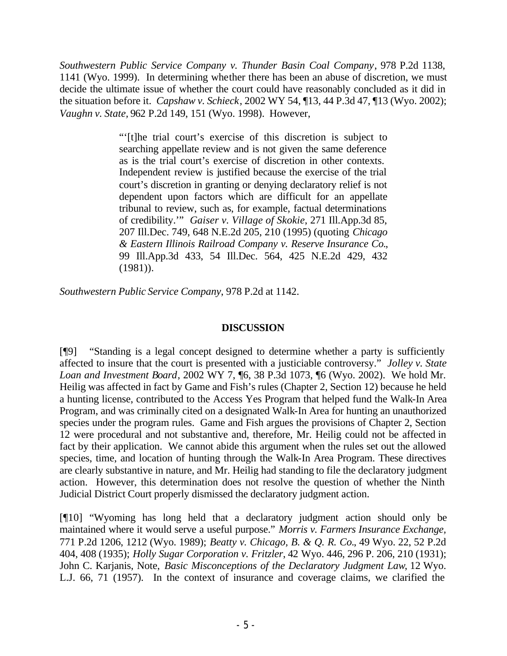*Southwestern Public Service Company v. Thunder Basin Coal Company*, 978 P.2d 1138, 1141 (Wyo. 1999). In determining whether there has been an abuse of discretion, we must decide the ultimate issue of whether the court could have reasonably concluded as it did in the situation before it. *Capshaw v. Schieck*, 2002 WY 54, ¶13, 44 P.3d 47, ¶13 (Wyo. 2002); *Vaughn v. State,* 962 P.2d 149, 151 (Wyo. 1998). However,

> "'[t]he trial court's exercise of this discretion is subject to searching appellate review and is not given the same deference as is the trial court's exercise of discretion in other contexts. Independent review is justified because the exercise of the trial court's discretion in granting or denying declaratory relief is not dependent upon factors which are difficult for an appellate tribunal to review, such as, for example, factual determinations of credibility.'" *Gaiser v. Village of Skokie*, 271 Ill.App.3d 85, 207 Ill.Dec. 749, 648 N.E.2d 205, 210 (1995) (quoting *Chicago & Eastern Illinois Railroad Company v. Reserve Insurance Co.*, 99 Ill.App.3d 433, 54 Ill.Dec. 564, 425 N.E.2d 429, 432 (1981)).

*Southwestern Public Service Company*, 978 P.2d at 1142.

### **DISCUSSION**

[¶9] "Standing is a legal concept designed to determine whether a party is sufficiently affected to insure that the court is presented with a justiciable controversy." *Jolley v. State Loan and Investment Board*, 2002 WY 7, ¶6, 38 P.3d 1073, ¶6 (Wyo. 2002). We hold Mr. Heilig was affected in fact by Game and Fish's rules (Chapter 2, Section 12) because he held a hunting license, contributed to the Access Yes Program that helped fund the Walk-In Area Program, and was criminally cited on a designated Walk-In Area for hunting an unauthorized species under the program rules. Game and Fish argues the provisions of Chapter 2, Section 12 were procedural and not substantive and, therefore, Mr. Heilig could not be affected in fact by their application. We cannot abide this argument when the rules set out the allowed species, time, and location of hunting through the Walk-In Area Program. These directives are clearly substantive in nature, and Mr. Heilig had standing to file the declaratory judgment action. However, this determination does not resolve the question of whether the Ninth Judicial District Court properly dismissed the declaratory judgment action.

[¶10] "Wyoming has long held that a declaratory judgment action should only be maintained where it would serve a useful purpose." *Morris v. Farmers Insurance Exchange,*  771 P.2d 1206, 1212 (Wyo. 1989); *Beatty v. Chicago, B. & Q. R. Co.*, 49 Wyo. 22, 52 P.2d 404, 408 (1935); *Holly Sugar Corporation v. Fritzler*, 42 Wyo. 446, 296 P. 206, 210 (1931); John C. Karjanis, Note, *Basic Misconceptions of the Declaratory Judgment Law*, 12 Wyo. L.J. 66, 71 (1957). In the context of insurance and coverage claims, we clarified the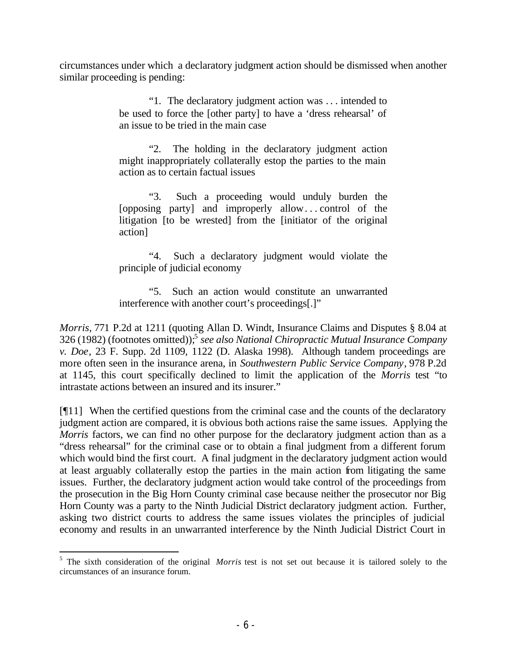circumstances under which a declaratory judgment action should be dismissed when another similar proceeding is pending:

> "1. The declaratory judgment action was . . . intended to be used to force the [other party] to have a 'dress rehearsal' of an issue to be tried in the main case

> "2. The holding in the declaratory judgment action might inappropriately collaterally estop the parties to the main action as to certain factual issues

> "3. Such a proceeding would unduly burden the [opposing party] and improperly allow. . . control of the litigation [to be wrested] from the [initiator of the original action]

> "4. Such a declaratory judgment would violate the principle of judicial economy

> "5. Such an action would constitute an unwarranted interference with another court's proceedings[.]"

*Morris,* 771 P.2d at 1211 (quoting Allan D. Windt, Insurance Claims and Disputes § 8.04 at 326 (1982) (footnotes omitted));<sup>5</sup> *see also National Chiropractic Mutual Insurance Company v. Doe*, 23 F. Supp. 2d 1109, 1122 (D. Alaska 1998). Although tandem proceedings are more often seen in the insurance arena, in *Southwestern Public Service Company*, 978 P.2d at 1145, this court specifically declined to limit the application of the *Morris* test "to intrastate actions between an insured and its insurer."

[¶11] When the certified questions from the criminal case and the counts of the declaratory judgment action are compared, it is obvious both actions raise the same issues. Applying the *Morris* factors, we can find no other purpose for the declaratory judgment action than as a "dress rehearsal" for the criminal case or to obtain a final judgment from a different forum which would bind the first court. A final judgment in the declaratory judgment action would at least arguably collaterally estop the parties in the main action from litigating the same issues. Further, the declaratory judgment action would take control of the proceedings from the prosecution in the Big Horn County criminal case because neither the prosecutor nor Big Horn County was a party to the Ninth Judicial District declaratory judgment action. Further, asking two district courts to address the same issues violates the principles of judicial economy and results in an unwarranted interference by the Ninth Judicial District Court in

<sup>&</sup>lt;sup>5</sup> The sixth consideration of the original *Morris* test is not set out because it is tailored solely to the circumstances of an insurance forum.